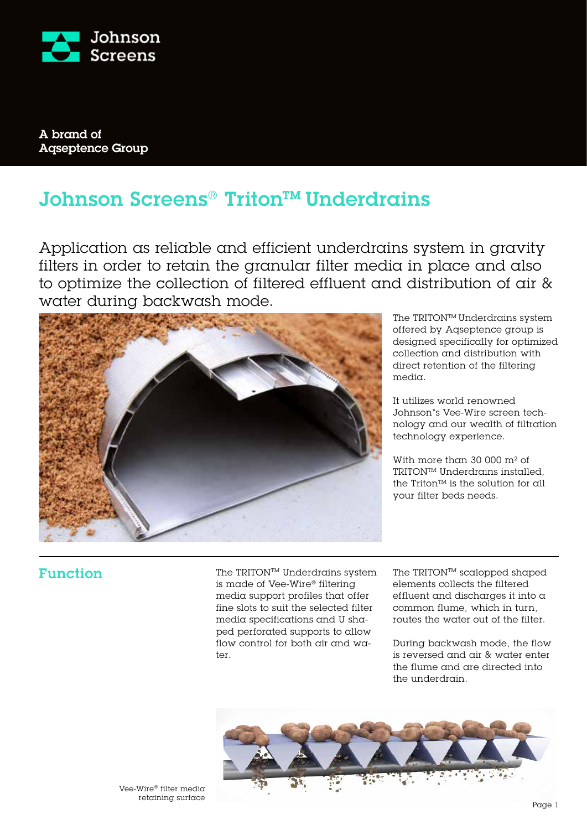

A brand of Aqseptence Group

# Johnson Screens® Triton™ Underdrains

Application as reliable and efficient underdrains system in gravity filters in order to retain the granular filter media in place and also to optimize the collection of filtered effluent and distribution of air & water during backwash mode.



The TRITONTM Underdrains system offered by Aqseptence group is designed specifically for optimized collection and distribution with direct retention of the filtering media.

It utilizes world renowned Johnson"s Vee-Wire screen technology and our wealth of filtration technology experience.

With more than 30 000 m² of TRITONTM Underdrains installed, the Triton<sup> $TM$ </sup> is the solution for all your filter beds needs.

# Function

The TRITON™ Underdrains system is made of Vee-Wire® filtering media support profiles that offer fine slots to suit the selected filter media specifications and U shaped perforated supports to allow flow control for both air and water.

The TRITON™ scalopped shaped elements collects the filtered effluent and discharges it into a common flume, which in turn, routes the water out of the filter.

During backwash mode, the flow is reversed and air & water enter the flume and are directed into the underdrain.

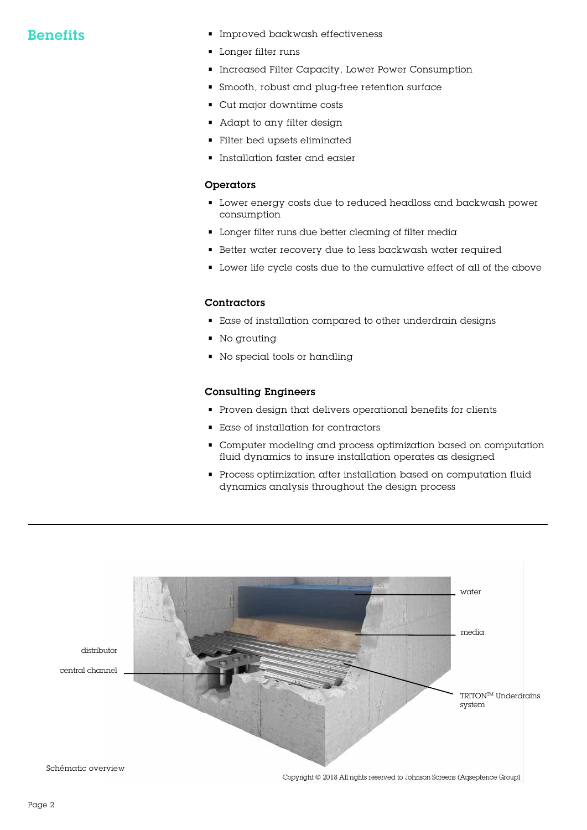- Benefits Improved backwash effectiveness
	- Longer filter runs
	- Increased Filter Capacity, Lower Power Consumption
	- Smooth, robust and plug-free retention surface
	- Cut major downtime costs
	- Adapt to any filter design
	- Filter bed upsets eliminated
	- Installation faster and easier

### Operators

- Lower energy costs due to reduced headloss and backwash power consumption
- Longer filter runs due better cleaning of filter media
- Better water recovery due to less backwash water required
- Lower life cycle costs due to the cumulative effect of all of the above

### Contractors

- Ease of installation compared to other underdrain designs
- No grouting
- No special tools or handling

#### Consulting Engineers

- Proven design that delivers operational benefits for clients
- Ease of installation for contractors
- Computer modeling and process optimization based on computation fluid dynamics to insure installation operates as designed
- Process optimization after installation based on computation fluid dynamics analysis throughout the design process

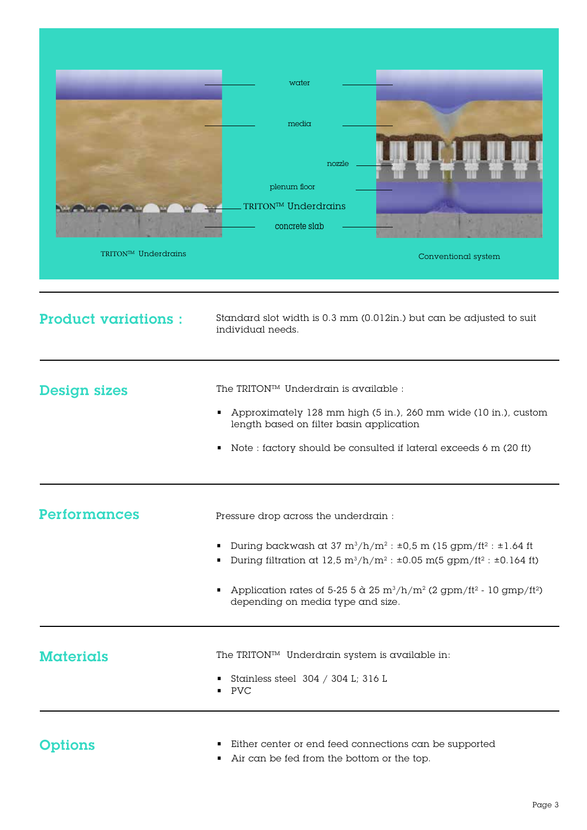

| <b>Product variations:</b> | Standard slot width is 0.3 mm (0.012in.) but can be adjusted to suit<br>individual needs.                                                                                                                                                                                                                                                                                                                                              |
|----------------------------|----------------------------------------------------------------------------------------------------------------------------------------------------------------------------------------------------------------------------------------------------------------------------------------------------------------------------------------------------------------------------------------------------------------------------------------|
| <b>Design sizes</b>        | The TRITON™ Underdrain is available :<br>Approximately 128 mm high (5 in.), 260 mm wide (10 in.), custom<br>length based on filter basin application<br>Note : factory should be consulted if lateral exceeds 6 m (20 ft)                                                                                                                                                                                                              |
| Performances               | Pressure drop across the underdrain :<br>During backwash at 37 $m^3/h/m^2$ : $\pm 0.5$ m (15 gpm/ft <sup>2</sup> : $\pm 1.64$ ft<br>During filtration at $12.5 \text{ m}^3/\text{h/m}^2$ : $\pm 0.05 \text{ m}(5 \text{ gpm}/\text{ft}^2$ : $\pm 0.164 \text{ ft})$<br>Application rates of 5-25 5 $\alpha$ 25 m <sup>3</sup> /h/m <sup>2</sup> (2 gpm/ft <sup>2</sup> - 10 gmp/ft <sup>2</sup> )<br>depending on media type and size. |
| <b>Materials</b>           | The TRITON™ Underdrain system is available in:<br>Stainless steel $304 / 304$ L; $316$ L<br>$\blacksquare$ PVC                                                                                                                                                                                                                                                                                                                         |
| Options                    | Either center or end feed connections can be supported<br>Air can be fed from the bottom or the top.                                                                                                                                                                                                                                                                                                                                   |